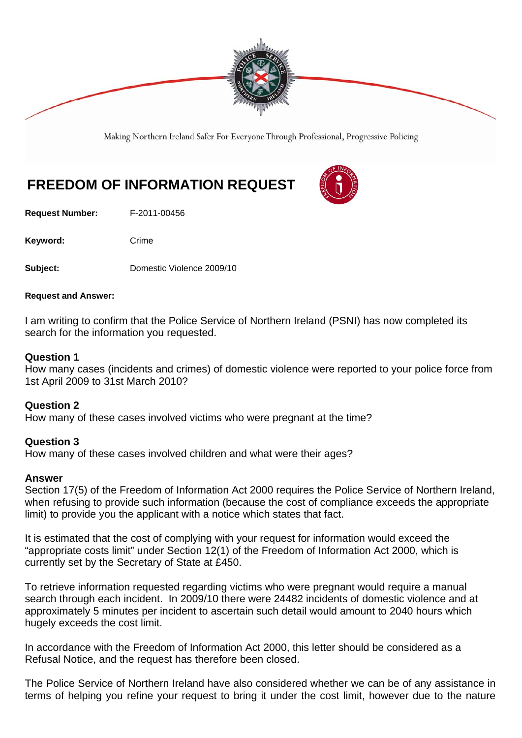

Making Northern Ireland Safer For Everyone Through Professional, Progressive Policing

# **FREEDOM OF INFORMATION REQUEST**

**Request Number:** F-2011-00456

Keyword: Crime

**Subject:** Domestic Violence 2009/10

#### **Request and Answer:**

I am writing to confirm that the Police Service of Northern Ireland (PSNI) has now completed its search for the information you requested.

#### **Question 1**

How many cases (incidents and crimes) of domestic violence were reported to your police force from 1st April 2009 to 31st March 2010?

#### **Question 2**

How many of these cases involved victims who were pregnant at the time?

## **Question 3**

How many of these cases involved children and what were their ages?

#### **Answer**

Section 17(5) of the Freedom of Information Act 2000 requires the Police Service of Northern Ireland, when refusing to provide such information (because the cost of compliance exceeds the appropriate limit) to provide you the applicant with a notice which states that fact.

It is estimated that the cost of complying with your request for information would exceed the "appropriate costs limit" under Section 12(1) of the Freedom of Information Act 2000, which is currently set by the Secretary of State at £450.

To retrieve information requested regarding victims who were pregnant would require a manual search through each incident. In 2009/10 there were 24482 incidents of domestic violence and at approximately 5 minutes per incident to ascertain such detail would amount to 2040 hours which hugely exceeds the cost limit.

In accordance with the Freedom of Information Act 2000, this letter should be considered as a Refusal Notice, and the request has therefore been closed.

The Police Service of Northern Ireland have also considered whether we can be of any assistance in terms of helping you refine your request to bring it under the cost limit, however due to the nature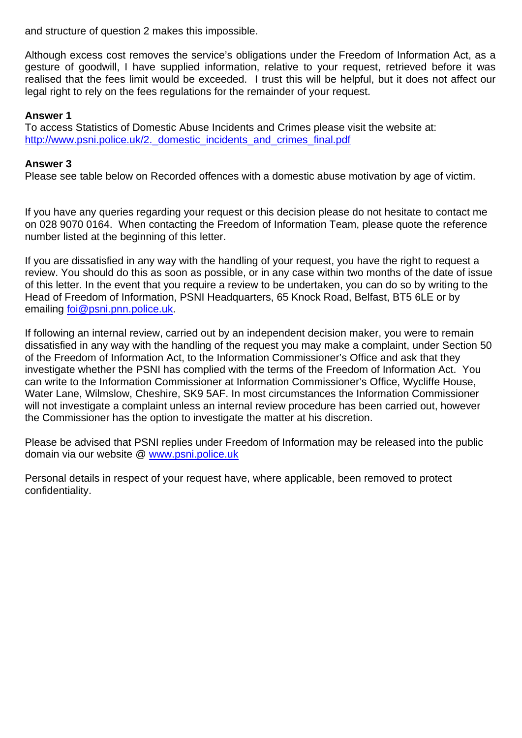and structure of question 2 makes this impossible.

Although excess cost removes the service's obligations under the Freedom of Information Act, as a gesture of goodwill, I have supplied information, relative to your request, retrieved before it was realised that the fees limit would be exceeded. I trust this will be helpful, but it does not affect our legal right to rely on the fees regulations for the remainder of your request.

## **Answer 1**

To access Statistics of Domestic Abuse Incidents and Crimes please visit the website at: http://www.psni.police.uk/2. domestic incidents and crimes final.pdf

## **Answer 3**

Please see table below on Recorded offences with a domestic abuse motivation by age of victim.

If you have any queries regarding your request or this decision please do not hesitate to contact me on 028 9070 0164. When contacting the Freedom of Information Team, please quote the reference number listed at the beginning of this letter.

If you are dissatisfied in any way with the handling of your request, you have the right to request a review. You should do this as soon as possible, or in any case within two months of the date of issue of this letter. In the event that you require a review to be undertaken, you can do so by writing to the Head of Freedom of Information, PSNI Headquarters, 65 Knock Road, Belfast, BT5 6LE or by emailing foi@psni.pnn.police.uk.

If following an internal review, carried out by an independent decision maker, you were to remain dissatisfied in any way with the handling of the request you may make a complaint, under Section 50 of the Freedom of Information Act, to the Information Commissioner's Office and ask that they investigate whether the PSNI has complied with the terms of the Freedom of Information Act. You can write to the Information Commissioner at Information Commissioner's Office, Wycliffe House, Water Lane, Wilmslow, Cheshire, SK9 5AF. In most circumstances the Information Commissioner will not investigate a complaint unless an internal review procedure has been carried out, however the Commissioner has the option to investigate the matter at his discretion.

Please be advised that PSNI replies under Freedom of Information may be released into the public domain via our website @ www.psni.police.uk

Personal details in respect of your request have, where applicable, been removed to protect confidentiality.